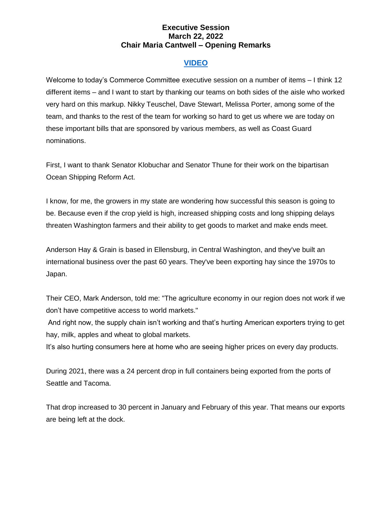## **Executive Session March 22, 2022 Chair Maria Cantwell – Opening Remarks**

## **[VIDEO](https://www.youtube.com/watch?v=L1tVkgYbiko)**

Welcome to today's Commerce Committee executive session on a number of items – I think 12 different items – and I want to start by thanking our teams on both sides of the aisle who worked very hard on this markup. Nikky Teuschel, Dave Stewart, Melissa Porter, among some of the team, and thanks to the rest of the team for working so hard to get us where we are today on these important bills that are sponsored by various members, as well as Coast Guard nominations.

First, I want to thank Senator Klobuchar and Senator Thune for their work on the bipartisan Ocean Shipping Reform Act.

I know, for me, the growers in my state are wondering how successful this season is going to be. Because even if the crop yield is high, increased shipping costs and long shipping delays threaten Washington farmers and their ability to get goods to market and make ends meet.

Anderson Hay & Grain is based in Ellensburg, in Central Washington, and they've built an international business over the past 60 years. They've been exporting hay since the 1970s to Japan.

Their CEO, Mark Anderson, told me: "The agriculture economy in our region does not work if we don't have competitive access to world markets."

And right now, the supply chain isn't working and that's hurting American exporters trying to get hay, milk, apples and wheat to global markets.

It's also hurting consumers here at home who are seeing higher prices on every day products.

During 2021, there was a 24 percent drop in full containers being exported from the ports of Seattle and Tacoma.

That drop increased to 30 percent in January and February of this year. That means our exports are being left at the dock.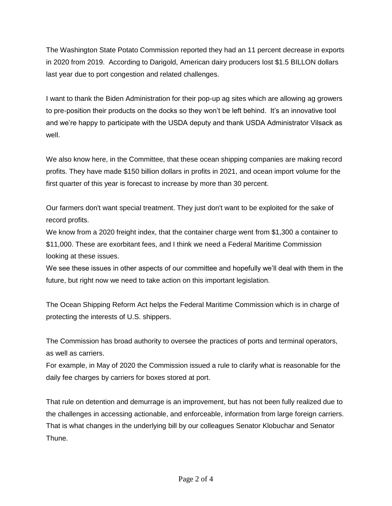The Washington State Potato Commission reported they had an 11 percent decrease in exports in 2020 from 2019. According to Darigold, American dairy producers lost \$1.5 BILLON dollars last year due to port congestion and related challenges.

I want to thank the Biden Administration for their pop-up ag sites which are allowing ag growers to pre-position their products on the docks so they won't be left behind. It's an innovative tool and we're happy to participate with the USDA deputy and thank USDA Administrator Vilsack as well.

We also know here, in the Committee, that these ocean shipping companies are making record profits. They have made \$150 billion dollars in profits in 2021, and ocean import volume for the first quarter of this year is forecast to increase by more than 30 percent.

Our farmers don't want special treatment. They just don't want to be exploited for the sake of record profits.

We know from a 2020 freight index, that the container charge went from \$1,300 a container to \$11,000. These are exorbitant fees, and I think we need a Federal Maritime Commission looking at these issues.

We see these issues in other aspects of our committee and hopefully we'll deal with them in the future, but right now we need to take action on this important legislation.

The Ocean Shipping Reform Act helps the Federal Maritime Commission which is in charge of protecting the interests of U.S. shippers.

The Commission has broad authority to oversee the practices of ports and terminal operators, as well as carriers.

For example, in May of 2020 the Commission issued a rule to clarify what is reasonable for the daily fee charges by carriers for boxes stored at port.

That rule on detention and demurrage is an improvement, but has not been fully realized due to the challenges in accessing actionable, and enforceable, information from large foreign carriers. That is what changes in the underlying bill by our colleagues Senator Klobuchar and Senator Thune.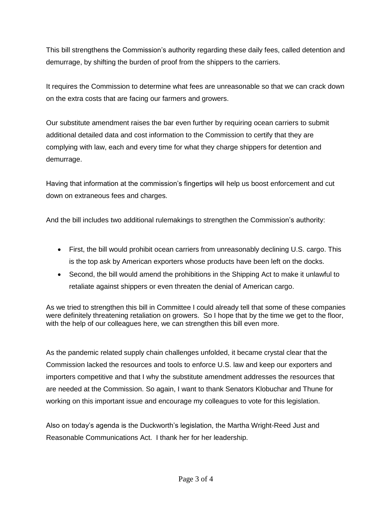This bill strengthens the Commission's authority regarding these daily fees, called detention and demurrage, by shifting the burden of proof from the shippers to the carriers.

It requires the Commission to determine what fees are unreasonable so that we can crack down on the extra costs that are facing our farmers and growers.

Our substitute amendment raises the bar even further by requiring ocean carriers to submit additional detailed data and cost information to the Commission to certify that they are complying with law, each and every time for what they charge shippers for detention and demurrage.

Having that information at the commission's fingertips will help us boost enforcement and cut down on extraneous fees and charges.

And the bill includes two additional rulemakings to strengthen the Commission's authority:

- First, the bill would prohibit ocean carriers from unreasonably declining U.S. cargo. This is the top ask by American exporters whose products have been left on the docks.
- Second, the bill would amend the prohibitions in the Shipping Act to make it unlawful to retaliate against shippers or even threaten the denial of American cargo.

As we tried to strengthen this bill in Committee I could already tell that some of these companies were definitely threatening retaliation on growers. So I hope that by the time we get to the floor, with the help of our colleagues here, we can strengthen this bill even more.

As the pandemic related supply chain challenges unfolded, it became crystal clear that the Commission lacked the resources and tools to enforce U.S. law and keep our exporters and importers competitive and that I why the substitute amendment addresses the resources that are needed at the Commission. So again, I want to thank Senators Klobuchar and Thune for working on this important issue and encourage my colleagues to vote for this legislation.

Also on today's agenda is the Duckworth's legislation, the Martha Wright-Reed Just and Reasonable Communications Act. I thank her for her leadership.